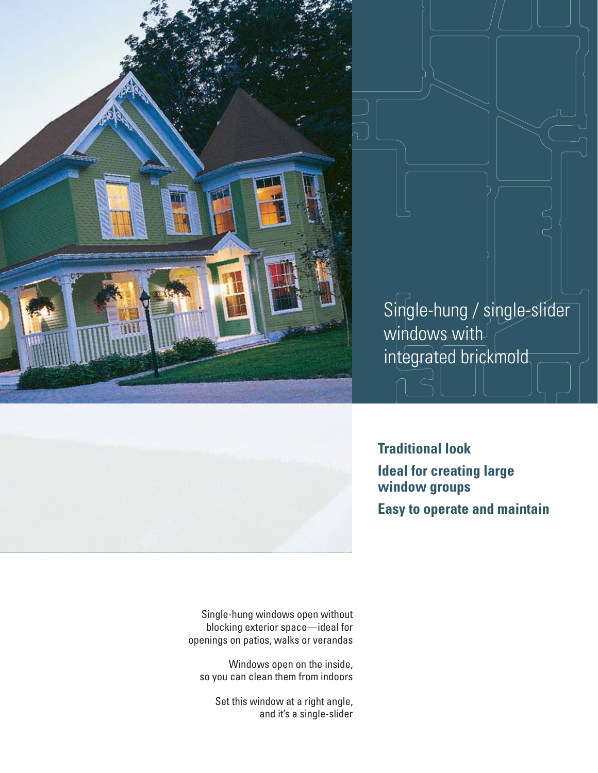

Single-hung / single-slider windows with integrated brickmold



**Traditional look Ideal for creating large window groups Easy to operate and maintain**

Single-hung windows open without blocking exterior space—ideal for openings on patios, walks or verandas

Windows open on the inside, so you can clean them from indoors

> Set this window at a right angle, and it's a single-slider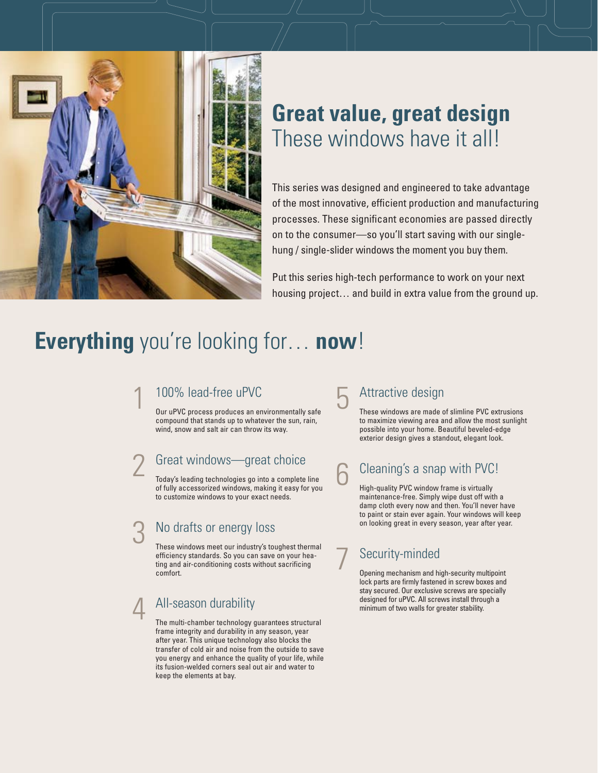

# **Great value, great design** These windows have it all!

This series was designed and engineered to take advantage of the most innovative, efficient production and manufacturing processes. These significant economies are passed directly on to the consumer—so you'll start saving with our singlehung / single-slider windows the moment you buy them.

Put this series high-tech performance to work on your next housing project… and build in extra value from the ground up.

# **Everything** you're looking for… **now**!

#### 1 100% lead-free uPVC

Our uPVC process produces an environmentally safe compound that stands up to whatever the sun, rain, wind, snow and salt air can throw its way.

#### Great windows—great choice

Today's leading technologies go into a complete line of fully accessorized windows, making it easy for you to customize windows to your exact needs.

### No drafts or energy loss

These windows meet our industry's toughest thermal efficiency standards. So you can save on your heating and air-conditioning costs without sacrificing comfort.

#### 4 All-season durability

The multi-chamber technology guarantees structural frame integrity and durability in any season, year after year. This unique technology also blocks the transfer of cold air and noise from the outside to save you energy and enhance the quality of your life, while its fusion-welded corners seal out air and water to keep the elements at bay.

### Attractive design

These windows are made of slimline PVC extrusions to maximize viewing area and allow the most sunlight possible into your home. Beautiful beveled-edge exterior design gives a standout, elegant look.

### 6 Cleaning's a snap with PVC!

High-quality PVC window frame is virtually maintenance-free. Simply wipe dust off with a damp cloth every now and then. You'll never have to paint or stain ever again. Your windows will keep on looking great in every season, year after year.

### Security-minded

Opening mechanism and high-security multipoint lock parts are firmly fastened in screw boxes and stay secured. Our exclusive screws are specially designed for uPVC. All screws install through a minimum of two walls for greater stability.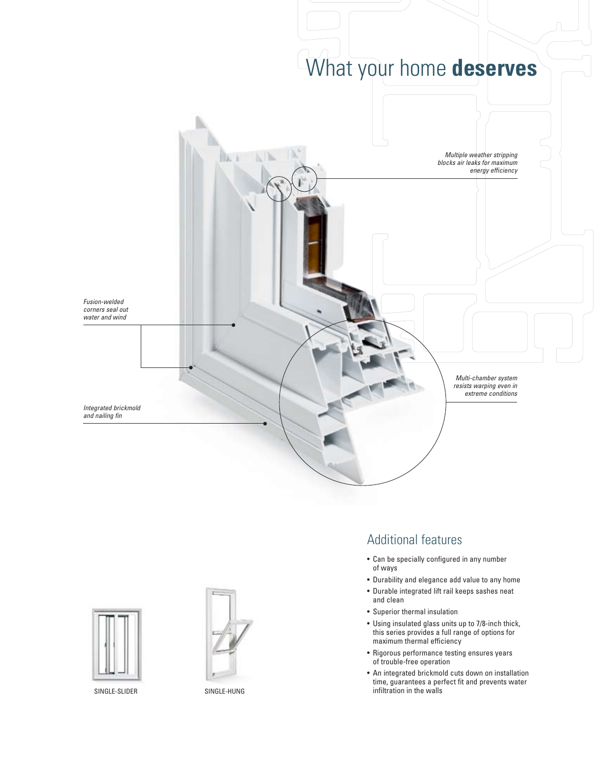





#### Additional features

- Can be specially configured in any number of ways
- Durability and elegance add value to any home
- Durable integrated lift rail keeps sashes neat and clean
- Superior thermal insulation
- Using insulated glass units up to 7/8-inch thick, this series provides a full range of options for maximum thermal efficiency
- Rigorous performance testing ensures years of trouble-free operation
- An integrated brickmold cuts down on installation time, guarantees a perfect fit and prevents water SINGLE-SLIDER SINGLE-HUNG SINGLE-HUNG infiltration in the walls